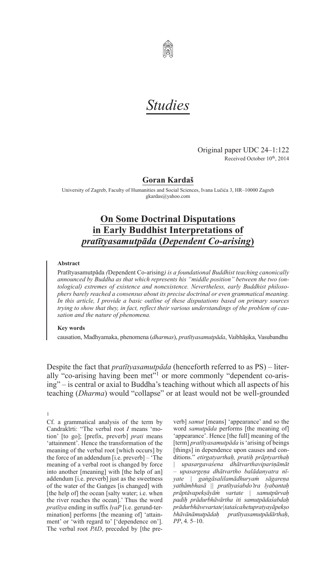

# *Studies*

Original paper UDC 24–1:122 Received October 10<sup>th</sup>, 2014

# **Goran Kardaš**

University of Zagreb, Faculty of Humanities and Social Sciences, Ivana Lučića 3, HR–10000 Zagreb gkardas@yahoo.com

# **On Some Doctrinal Disputations in Early Buddhist Interpretations of** *pratītyasamutpāda* **(***Dependent Co-arising***)**

#### **Abstract**

Pratītyasamutpāda *(*Dependent Co-arising*) is a foundational Buddhist teaching canonically announced by Buddha as that which represents his "middle position" between the two (ontological) extremes of existence and nonexistence. Nevertheless, early Buddhist philosophers barely reached a consensus about its precise doctrinal or even grammatical meaning. In this article, I provide a basic outline of these disputations based on primary sources trying to show that they, in fact, reflect their various understandings of the problem of causation and the nature of phenomena.*

#### **Key words**

1

causation, Madhyamaka, phenomena (*dharmas*), *pratītyasamutpāda*, Vaibhāṣika, Vasubandhu

Despite the fact that *pratītyasamutpāda* (henceforth referred to as PS) – literally "co-arising having been met"<sup>1</sup> or more commonly "dependent co-arising" – is central or axial to Buddha's teaching without which all aspects of his teaching (*Dharma*) would "collapse" or at least would not be well-grounded

Cf. a grammatical analysis of the term by Candrakīrti: "The verbal root *I* means 'motion' [to go]; [prefix, preverb] *prati* means 'attainment'. Hence the transformation of the meaning of the verbal root [which occurs] by the force of an addendum [i.e. preverb] – 'The meaning of a verbal root is changed by force into another [meaning] with [the help of an] addendum [i.e. preverb] just as the sweetness of the water of the Gaṅges [is changed] with [the help of] the ocean [salty water; i.e. when the river reaches the ocean].' Thus the word *pratītya* ending in suffix *lyaP* [i.e. gerund-termination] performs [the meaning of] 'attainment' or 'with regard to' ['dependence on']. The verbal root *PAD*, preceded by [the pre-

verb] *samut* [means] 'appearance' and so the word *samutpāda* performs [the meaning of] 'appearance'. Hence [the full] meaning of the [term] *pratītyasamutpāda* is'arising of beings [things] in dependence upon causes and conditions." *etirgatyarthaḥ, pratiḥ prāptyarthaḥ*

*| upasargavaśena dhātvarthavipariṇāmāt – upasargeṇa dhātvartho balādanyatra nīyate | gaṅgāsalilamādhuryaṁ sāgareṇa yathāmbhasā || pratītyaśabdo'tra lyabantaḥ prāptāvapekṣāyāṁ vartate | samutpūrvaḥ padiḥ prādurbhāvārtha iti samutpādaśabdaḥ prādurbhāve vartate | tataśca hetupratyayāpekṣo bhāvānāmutpādaḥ pratītyasamutpādārthaḥ*, *PP*, 4. 5–10.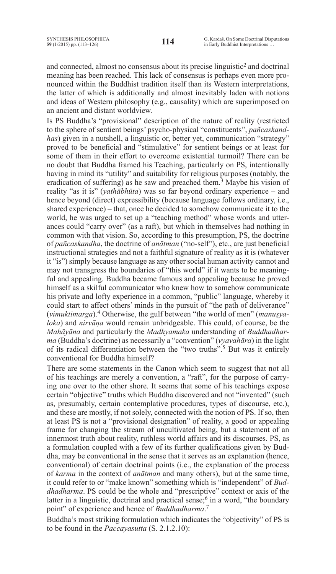and connected, almost no consensus about its precise linguistic2 and doctrinal meaning has been reached. This lack of consensus is perhaps even more pronounced within the Buddhist tradition itself than its Western interpretations, the latter of which is additionally and almost inevitably laden with notions and ideas of Western philosophy (e.g., causality) which are superimposed on an ancient and distant worldview.

Is PS Buddha's "provisional" description of the nature of reality (restricted to the sphere of sentient beings' psycho-physical "constituents", *pañcaskandhas*) given in a nutshell, a linguistic or, better yet, communication "strategy" proved to be beneficial and "stimulative" for sentient beings or at least for some of them in their effort to overcome existential turmoil? There can be no doubt that Buddha framed his Teaching, particularly on PS, intentionally having in mind its "utility" and suitability for religious purposes (notably, the eradication of suffering) as he saw and preached them.<sup>3</sup> Maybe his vision of reality "as it is" (*yathābhūta*) was so far beyond ordinary experience – and hence beyond (direct) expressibility (because language follows ordinary, i.e., shared experience) – that, once he decided to somehow communicate it to the world, he was urged to set up a "teaching method" whose words and utterances could "carry over" (as a raft), but which in themselves had nothing in common with that vision. So, according to this presumption, PS, the doctrine of *pañcaskandha*, the doctrine of *anātman* ("no-self"), etc., are just beneficial instructional strategies and not a faithful signature of reality as it is (whatever it "is") simply because language as any other social human activity cannot and may not transgress the boundaries of "this world" if it wants to be meaningful and appealing. Buddha became famous and appealing because he proved himself as a skilful communicator who knew how to somehow communicate his private and lofty experience in a common, "public" language, whereby it could start to affect others' minds in the pursuit of "the path of deliverance" (*vimuktimarga*).4 Otherwise, the gulf between "the world of men" (*manuṣyaloka*) and *nirvāṇa* would remain unbridgeable. This could, of course, be the *Mahāyāna* and particularly the *Madhyamaka* understanding of *Buddhadharma* (Buddha's doctrine) as necessarily a "convention" (*vyavahāra*) in the light of its radical differentiation between the "two truths".5 But was it entirely conventional for Buddha himself?

There are some statements in the Canon which seem to suggest that not all of his teachings are merely a convention, a "raft", for the purpose of carrying one over to the other shore. It seems that some of his teachings expose certain "objective" truths which Buddha discovered and not "invented" (such as, presumably, certain contemplative procedures, types of discourse, etc.), and these are mostly, if not solely, connected with the notion of PS. If so, then at least PS is not a "provisional designation" of reality, a good or appealing frame for changing the stream of uncultivated being, but a statement of an innermost truth about reality, ruthless world affairs and its discourses. PS, as a formulation coupled with a few of its further qualifications given by Buddha, may be conventional in the sense that it serves as an explanation (hence, conventional) of certain doctrinal points (i.e., the explanation of the process of *karma* in the context of *anātman* and many others), but at the same time, it could refer to or "make known" something which is "independent" of *Buddhadharma*. PS could be the whole and "prescriptive" context or axis of the latter in a linguistic, doctrinal and practical sense;<sup>6</sup> in a word, "the boundary point" of experience and hence of *Buddhadharma*. 7

Buddha's most striking formulation which indicates the "objectivity" of PS is to be found in the *Paccayasutta* (S. 2.1.2.10):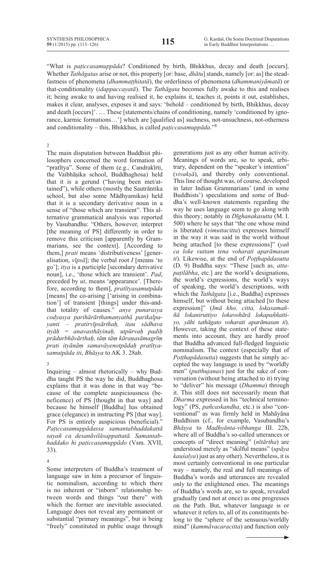"What is *paṭiccasamuppāda*? Conditioned by birth, Bhikkhus, decay and death [occurs]. Whether *Tathāgatas* arise or not, this property [or: base, *dhātu*] stands, namely [or: as] the steadfastness of phenomena (*dhammaṭṭhitatā*), the orderliness of phenomena (*dhammaniyāmatā*) or that-conditionality (*idappaccayatā*). The *Tathāgata* becomes fully awake to this and realises it; being awake to and having realised it, he explains it, teaches it, points it out, establishes, makes it clear, analyses, exposes it and says: 'behold – conditioned by birth, Bhikkhus, decay and death [occurs]'. … These [statements/chains of conditioning, namely 'conditioned by ignorance, karmic formations…'] which are [qualified as] suchness, not-unsuchness, not-otherness and conditionality – this, Bhikkhus, is called *paṭiccasamuppāda*."8

2

The main disputation between Buddhist philosophers concerned the word formation of "pratītya". Some of them (e.g., Candrakīrti, the Vaibhāṣika school, Buddhaghosa) held that it is a gerund ("having been met/attained"), while others (mostly the Sautrāntika school, but also some Mādhyamikas) held that it is a secondary derivative noun in a sense of "those which are transient". This alternative grammatical analysis was reported by Vasubandhu: "Others, however, interpret [the meaning of PS] differently in order to remove this criticism [apparently by Grammarians, see the context]. [According to them,] *prati* means 'distributiveness' [generalisation, *vīpsā*]; the verbal root *I* [means 'to go']; *itya* is a participle [secondary derivative noun], i.e., 'those which are transient'. *Pad*, preceded by *ut*, means 'appearance'. [Therefore, according to them], *pratītyasamutpāda* [means] the co-arising ['arising in combination'] of transient [things] under this-andthat totality of causes." *anye punarasya codyasya parihārārthamanyathā parikalpayanti* – *pratirvīpsārthaḥ, itau sādhava ityāḥ = anavasthāyinaḥ, utpūrvaḥ padiḥ prādurbhāvārthaḥ, tāṃ tāṃ kāraṇasāmagrīṃ prati ityānāṃ samavāyenotpādaḥ pratītyasamutpāda iti*, *Bhāṣya* to AK 3. 28ab.

3

Inquiring – almost rhetorically – why Buddha taught PS the way he did, Buddhaghosa explains that it was done in that way "because of the complete auspiciousness (beneficence) of PS [thought in that way] and because he himself [Buddha] has obtained grace (elegance) in instructing PS [that way]. For PS is entirely auspicious (beneficial)." *Paṭiccasamuppādassa samantabhaddakattā sayañ ca desanāvilāsappattatā. Samantabhaddako hi paṭiccasamuppādo* (Vsm. XVII, 33).

4

Some interpreters of Buddha's treatment of language saw in him a precursor of linguistic nominalism, according to which there is no inherent or "inborn" relationship between words and things "out there" with which the former are inevitable associated. Language does not reveal any permanent or substantial "primary meanings", but is being "freely" constituted in public usage through

generations just as any other human activity. Meanings of words are, so to speak, arbitrary, dependent on the "speaker's intention" (*vivakṣā*), and thereby only conventional. This line of thought was, of course, developed in later Indian Grammarians' (and in some Buddhists') speculations and some of Buddha's well-known statements regarding the way he uses language seem to go along with this theory; notably in *Dīghanakasutta* (M. I. 500) where he says that "the one whose mind is liberated (*vimuttacitta*) expresses himself in the way it was said in the world without being attached [to these expressions]" (*yañ ca loke vuttam tena voharati aparāmasan ti*). Likewise, at the end of *Poṭṭhapādasutta* (D. 9) Buddha says: "These [such as, *attapaṭilābha*, etc.] are the world's designations, the world's expressions, the world's ways of speaking, the world's descriptions, with which the *Tathāgata* [i.e., Buddha] expresses himself, but without being attached [to these expression]" (*Imā kho, citta, lokasamaññā lokaniruttiyo lokavohārā lokapaññattiyo, yāhi tathāgato voharati aparāmasan ti*). However, taking the context of these statements into account, they are hardly proof that Buddha advanced full-fledged linguistic nominalism. The context (especially that of *Poṭṭhapādasutta*) suggests that he simply accepted the way language is used by "worldly men" (*putthujanas*) just for the sake of conversation (without being attached to it) trying to "deliver" his message (*Dhamma*) through it. This still does not necessarily mean that *Dharma* expressed in his "technical terminology" (PS, *pañcaskandha*, etc.) is also "conventional" as was firmly held in Mahāyāna Buddhism (cf., for example, Vasubandhu's *Bhāṣya* to *Madhyānta-vibhanga* III. 22b, where all of Buddha's so-called utterances or concepts of "direct meaning" (*nītārtha*) are understood merely as "skilful means" (*upāya kauśalya*) just as any other). Nevertheless, it is most certainly conventional in one particular way – namely, the real and full meanings of Buddha's words and utterances are revealed only to the enlightened ones. The meanings of Buddha's words are, so to speak, revealed gradually (and not at once) as one progresses on the Path. But, whatever language is or whatever it refers to, all of its constituents belong to the "sphere of the sensuous/worldly mind" (*kammāvacaracitta*) and function only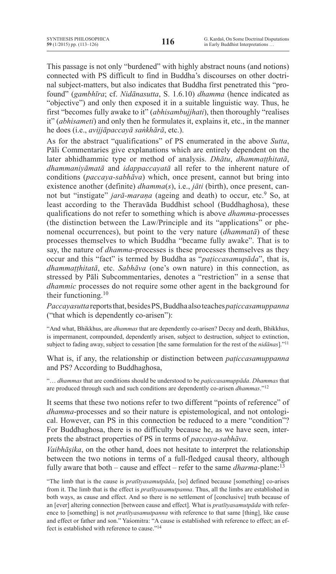This passage is not only "burdened" with highly abstract nouns (and notions) connected with PS difficult to find in Buddha's discourses on other doctrinal subject-matters, but also indicates that Buddha first penetrated this "profound" (*gambhīra*; cf. *Nidānasutta*, S. 1.6.10) *dhamma* (hence indicated as "objective") and only then exposed it in a suitable linguistic way. Thus, he first "becomes fully awake to it" (*abhisambujjhati*), then thoroughly "realises it" (*abhisameti*) and only then he formulates it, explains it, etc., in the manner he does (i.e., *avijjāpaccayā saṅkhārā*, etc.).

As for the abstract "qualifications" of PS enumerated in the above *Sutta*, Pāli Commentaries give explanations which are entirely dependent on the later abhidhammic type or method of analysis. *Dhātu*, *dhammaṭṭhitatā*, *dhammaniyāmatā* and *idappaccayatā* all refer to the inherent nature of conditions (*paccaya-sabhāva*) which, once present, cannot but bring into existence another (definite) *dhamma*(*s*), i.e., *jāti* (birth), once present, cannot but "instigate" *jarā-maraṇa* (ageing and death) to occur, etc.<sup>9</sup> So, at least according to the Theravāda Buddhist school (Buddhaghosa), these qualifications do not refer to something which is above *dhamma*-processes (the distinction between the Law/Principle and its "applications" or phenomenal occurrences), but point to the very nature (*dhammatā*) of these processes themselves to which Buddha "became fully awake". That is to say, the nature of *dhamma*-processes is these processes themselves as they occur and this "fact" is termed by Buddha as "*paṭiccasamupāda*", that is, *dhammaṭṭhitatā*, etc. *Sabhāva* (one's own nature) in this connection, as stressed by Pāli Subcommentaries, denotes a "restriction" in a sense that *dhammic* processes do not require some other agent in the background for their functioning.10

*Paccayasutta*reportsthat,besidesPS,Buddhaalsoteaches*paṭiccasamuppanna* ("that which is dependently co-arisen"):

"And what, Bhikkhus, are *dhammas* that are dependently co-arisen? Decay and death, Bhikkhus, is impermanent, compounded, dependently arisen, subject to destruction, subject to extinction, subject to fading away, subject to cessation [the same formulation for the rest of the *nidānas*]."11

What is, if any, the relationship or distinction between *paṭiccasamuppanna* and PS? According to Buddhaghosa,

"… *dhammas* that are conditions should be understood to be *paṭiccasamuppāda*. *Dhammas* that are produced through such and such conditions are dependently co-arisen *dhammas*."12

It seems that these two notions refer to two different "points of reference" of *dhamma*-processes and so their nature is epistemological, and not ontological. However, can PS in this connection be reduced to a mere "condition"? For Buddhaghosa, there is no difficulty because he, as we have seen, interprets the abstract properties of PS in terms of *paccaya-sabhāva*.

*Vaibhāṣika*, on the other hand, does not hesitate to interpret the relationship between the two notions in terms of a full-fledged causal theory, although fully aware that both – cause and effect – refer to the same *dharma*-plane:<sup>13</sup>

<sup>&</sup>quot;The limb that is the cause is *pratītyasamutpāda*, [so] defined because [something] co-arises from it. The limb that is the effect is *pratītyasamutpanna*. Thus, all the limbs are established in both ways, as cause and effect. And so there is no settlement of [conclusive] truth because of an [ever] altering connection [between cause and effect]. What is *pratītyasamutpāda* with reference to [something] is not *pratītyasamutpanna* with reference to that same [thing], like cause and effect or father and son." Yaśomitra: "A cause is established with reference to effect; an effect is established with reference to cause."14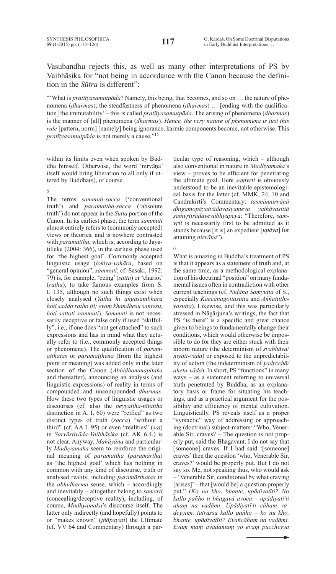Vasubandhu rejects this, as well as many other interpretations of PS by Vaibhāṣika for "not being in accordance with the Canon because the definition in the *Sūtra* is different":

"What is *pratītyasamutpāda*? Namely, this being, that becomes, and so on ... the nature of phenomena (*dharmas*), the steadfastness of phenomena (*dharmas*) … [ending with the qualification] the immutability' – this is called *pratītyasamutpāda*. The arising of phenomena (*dharmas*) is the manner of [all] phenomena (*dharmas*). *Hence, the very nature of phenomena is just this rule* [pattern, norm] [namely] being ignorance, karmic components become, not otherwise. This *pratītyasamutpāda* is not merely a cause."15

within its limits even when spoken by Buddha himself. Otherwise, the word 'nirvāṇa' itself would bring liberation to all only if uttered by Buddha(s), of course.

5

The terms *sammuti-sacca* ('conventional truth') and *paramattha-sacca* ('absolute truth') do not appear in the *Sutta* portion of the Canon. In its earliest phase, the term *sammuti* almost entirely refers to (commonly accepted) views or theories, and is nowhere contrasted with *paramattha*, which is, according to Jayatilleke (2004: 366), in the earliest phase used for 'the highest goal'. Commonly accepted linguistic usage (*lokiya-vohāra*, based on "general opinion", *sammuti*; cf. Sasaki, 1992: 79) is, for example, 'being'(*satta*) or 'chariot' (*ratha*), to take famous examples from S. I. 135, although no such things exist when closely analysed (*Yathā hi aṅgasambhārā hoti saddo ratho iti; evaṃ khandhesu santesu, hoti sattoti sammuti*). *Sammuti* is not necessarily deceptive or false only if used "skilfully", i.e., if one does "not get attached" to such expressions and has in mind what they actually refer to (i.e., commonly accepted things or phenomena). The qualification of *paramatthatas* or *paramaṭṭhena* (from the highest point or meaning) was added only in the later section of the Canon (*Abhidhammapiṭaka* and thereafter), announcing an analysis (and linguistic expressions) of reality in terms of compounded and uncompounded *dharmas*. How these two types of linguistic usages or discourses (cf. also the *neyyattha-nītattha* distinction in A. I. 60) were "reified" as two distinct types of truth (*sacca*) "without a third" (cf. AA I. 95) or even "realities" (*sat*) in *Sarvāstivāda-Vaibhāṣika* (cf. AK 6.4.) is not clear. Anyway, *Mahāyāna* and particularly *Madhyamaka* seem to reinforce the original meaning of *paramattha* (*paramārtha*) as 'the highest goal' which has nothing in common with any kind of discourse, truth or analysed reality, including *paramārthatas* in the *abhidharma* sense, which – accordingly and inevitably – altogether belong to *saṃvṛti* (concealing/deceptive reality), including, of course, *Madhyamaka*'s discourse itself. The latter only indirectly (and hopefully) points to or "makes known" (*jñāpayati*) the Ultimate (cf. VV 64 and Commentary) through a particular type of reasoning, which – although also conventional in nature in *Madhyamaka*'s view – proves to be efficient for penetrating the ultimate goal. Here *saṃvṛti* is obviously understood to be an inevitable epistemological basis for the latter (cf. MMK, 24. 10 and Candrakīrti's Commentary: *tasmānnirvāṇā dhigamopāyatvādavaśyameva yathāvastitā saṁvṛtirādāvevābhyupeyā*: "Therefore, *saṁvṛti* is necessarily first to be admitted as it stands because [it is] an expedient [*upāya*] for attaining *nirvāṇa*").

6

What is amazing in Buddha's treatment of PS is that it appears as a statement of truth and, at the same time, as a methodological explanation of his doctrinal "position" on many fundamental issues often in contradiction with other current teachings (cf. *Nidāna Saṃyutta* of S., especially *Kaccānagottasutta* and *Aññatitthiyasutta*). Likewise, and this was particularly stressed in Nāgārjuna's writings, the fact that PS "is there" is a specific and great chance given to beings to fundamentally change their conditions, which would otherwise be impossible to do for they are either stuck with their inborn nature (the determinism of *svabhāva*/ *niyati-vāda*) or exposed to the unpredictability of action (the indeterminism of *yadṛcchā/ ahetu-vāda*). In short, PS "functions" in many ways – as a statement referring to universal truth penetrated by Buddha, as an explanatory basis or frame for situating his teachings, and as a practical argument for the possibility and efficiency of mental cultivation. Linguistically, PS reveals itself as a proper "syntactic" way of addressing or approaching (doctrinal) subject-matters: "Who, Venerable Sir, craves? – The question is not properly put, said the Bhagavant. I do not say that [someone] craves. If I had said '[someone] craves'then the question 'who, Venerable Sir, craves?' would be properly put. But I do not say so. Me, not speaking thus, who would ask – 'Venerable Sir, conditioned by what craving [arises]' – that [would be] a question properly put." (*Ko nu kho, bhante, upādiyatīti? No kallo pañho ti bhagavā avoca* – *upādiyatī'ti ahaṃ na vadāmi. Upādiyatī'ti cāhaṃ vadeyyaṃ, tatrassa kallo pañho* – *ko nu kho, bhante, upādiyatīti? Evañcāhaṃ na vadāmi. Evaṃ maṃ avadantaṃ yo evaṃ puccheyya*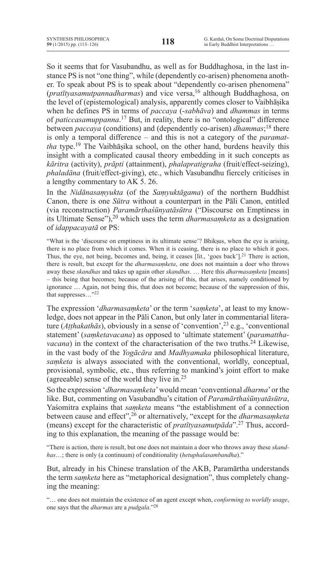So it seems that for Vasubandhu, as well as for Buddhaghosa, in the last instance PS is not "one thing", while (dependently co-arisen) phenomena another. To speak about PS is to speak about "dependently co-arisen phenomena" (*pratītyasamutpannadharmas*) and vice versa,<sup>16</sup> although Buddhaghosa, on the level of (epistemological) analysis, apparently comes closer to Vaibhāṣika when he defines PS in terms of *paccaya* (-*sabhāva*) and *dhammas* in terms of *paticcasamuppanna*. <sup>17</sup> But, in reality, there is no "ontological" difference between *paccaya* (conditions) and (dependently co-arisen) *dhammas*; <sup>18</sup> there is only a temporal difference – and this is not a category of the *paramattha* type.19 The Vaibhāṣika school, on the other hand, burdens heavily this insight with a complicated causal theory embedding in it such concepts as *kāritra* (activity), *prāpti* (attainment), *phalapratigraha* (fruit/effect-seizing), *phaladāna* (fruit/effect-giving), etc., which Vasubandhu fiercely criticises in a lengthy commentary to AK 5. 26.

In the *Nidānasaṃyukta* (of the *Saṃyuktāgama*) of the northern Buddhist Canon, there is one *Sūtra* without a counterpart in the Pāli Canon, entitled (via reconstruction) *Paramārthaśūnyatāsūtra* ("Discourse on Emptiness in its Ultimate Sense"),20 which uses the term *dharmasaṃketa* as a designation of *idappacayatā* or PS:

"What is the 'discourse on emptiness in its ultimate sense'? Bhikṣus, when the eye is arising, there is no place from which it comes. When it is ceasing, there is no place to which it goes. Thus, the eye, not being, becomes and, being, it ceases [lit., 'goes back'].<sup>21</sup> There is action, there is result, but except for the *dharmasaṃketa*, one does not maintain a doer who throws away these *skandhas* and takes up again other *skandhas*. … Here this *dharmasaṃketa* [means] – this being that becomes; because of the arising of this, that arises, namely conditioned by ignorance … Again, not being this, that does not become; because of the suppression of this, that suppresses…"22

The expression '*dharmasaṃketa*' or the term '*saṃketa*', at least to my knowledge, does not appear in the Pāli Canon, but only later in commentarial literature (*Aṭṭhakathās*), obviously in a sense of 'convention',23 e.g., 'conventional statement' (*saṃketavacana*) as opposed to 'ultimate statement' (*paramatthavacana*) in the context of the characterisation of the two truths.<sup>24</sup> Likewise, in the vast body of the *Yogācāra* and *Madhyamaka* philosophical literature, *saṃketa* is always associated with the conventional, worldly, conceptual, provisional, symbolic, etc., thus referring to mankind's joint effort to make (agreeable) sense of the world they live in.25

So the expression '*dharmasaṃketa*'would mean 'conventional *dharma*'or the like. But, commenting on Vasubandhu's citation of *Paramārthaśūnyatāsūtra*, Yaśomitra explains that *saṃketa* means "the establishment of a connection between cause and effect",26 or alternatively, "except for the *dharmasaṃketa* (means) except for the characteristic of *pratītyasamutpāda*".27 Thus, according to this explanation, the meaning of the passage would be:

"There is action, there is result, but one does not maintain a doer who throws away these *skandhas*…; there is only (a continuum) of conditionality (*hetuphalasambandha*)."

But, already in his Chinese translation of the AKB, Paramārtha understands the term *saṃketa* here as "metaphorical designation", thus completely changing the meaning:

"… one does not maintain the existence of an agent except when, *conforming to worldly usage*, one says that the *dharmas* are a *pudgala*."28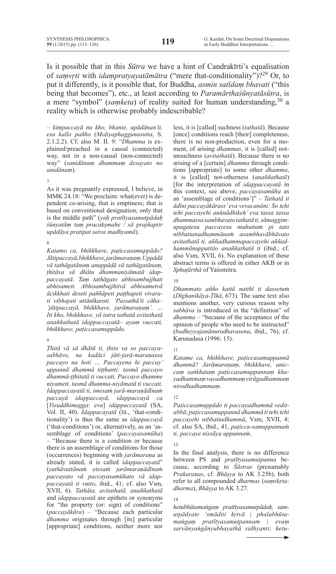Is it possible that in this *Sūtra* we have a hint of Candrakīrti's equalisation of *saṃvṛti* with *idaṃpratyayatāmātra* ("mere that-conditionality")?29 Or, to put it differently, is it possible that, for Buddha, *asmin satīdaṃ bhavati* ("this being that becomes"), etc., at least according to *Paramārthaśūnyatāsūtra*, is a mere "symbol" (*samketa*) of reality suited for human understanding,<sup>30</sup> a reality which is otherwise probably indescribable?

– *kiṃpaccayā nu kho, bhante, upādānan'ti, esa kallo pañho* (*Moḷiyaphaggunasutta*, S. 2.1.2.2). Cf. also M. II. 9: "*Dhamma* is explained/preached in a causal (connected) way, not in a non-causal (non-connected) way" (*sanidānaṃ dhammaṃ desayato no anidānaṃ*).

#### 7

As it was pregnantly expressed, I believe, in MMK 24.18: "We proclaim: what(ever) is dependent co-arising, that is emptiness; that is based on conventional designation; only that is the middle path" (*yaḥ pratītyasamutpādaḥ śūnyatāṃ taṃ pracakṣmahe / sā prajñaptir upādāya pratipat saiva madhyamā*).

#### 8

*Katamo ca, bhikkhave, paṭiccasamuppādo? Jātipaccayā, bhikkhave, jarāmaraṇaṃ. Uppādā vā tathāgatānaṃ anuppādā vā tathāgatānaṃ, ṭhitāva sā dhātu dhammaniyāmatā idappaccayatā. Taṃ tathāgato abhisambujjhati abhisameti. Abhisambujjhitvā abhisametvā ācikkhati deseti paññāpeti paṭṭhapeti vivarati vibhajati uttānīkaroti. 'Passathā'ti cāha– 'jātipaccayā, bhikkhave, jarāmaraṇaṃ'. … Iti kho, bhikkhave, yā tatra tathatā avitathatā anaññathatā idappaccayatā– ayaṃ vuccati, bhikkhave, paṭiccasamuppādo*.

#### 9

*Ṭhitā vā sā dhātū ti, ṭhito va so paccayasabhāvo, na kadāci jāti-jarā-maraṇassa paccayo na hoti … Paccayena hi paccay' uppannā dhammā tiṭṭhanti: tasmā paccayo dhammā-ṭṭhitatā ti vuccati. Paccayo dhamme niyameti, tasmā dhamma-niyāmatā ti vuccati. Idappaccayatā ti, imesaṁ jarā-maraṇādīnaṁ paccayā idappaccayā, idappaccayā ca* [*Visuddhimagga*: *eva*] *idappaccayatā* (SA, Vol. II, 40). *Idappacayatā* (lit., 'that-conditionality') is thus the same as *idappaccayā* ('that-conditions') or, alternatively, as an 'assemblage of conditions' (*paccayasamūha*) – "Because there is a condition or because there is an assemblage of conditions for those (occurrences) beginning with *jarāmaraṇa* as already stated, it is called *idappaccayatā*" (*yathāvuttānaṁ etesaṁ jarāmaraṇādīnaṁ paccayato vā paccayasamūhato vā idappaccayatā ti vutto*, ibid., 41; cf. also Vsm, XVII, 6). *Tathāta, avitathatā, anaññathatā* and *idappaccayatā* are epithets or synonyms for "the property (or: sign) of conditions" (*paccayākāra*) – "Because each particular *dhamma* originates through [its] particular [appropriate] conditions, neither more nor less, it is [called] suchness (*tathatā*). Because [once] conditions reach [their] completeness, there is no non-production, even for a moment, of arising *dhammas*, it is [called] notunsuchness (*avitathatā*). Because there is no arising of a [certain] *dhamma* through conditions [appropriate] to some other *dhamma*, it is [called] not-otherness (*anaññathatā*) [for the interpretation of *idappaccayatā* in this context, see above, *paccayasamūha* as an 'assemblage of conditions']" – *Tathatā ti ādīni paccayākārass' eva vevacanāni: So tehi tehi paccayehi anūnādhikeh' eva tassa tassa dhammassa sambhavato tathatā ti, sāmaggimupagatesu paccayesu muhuttam pi tato nibbattanadhammānaṁ asambhavābhāvato avitathatā ti, aññadhammapaccayehi aññadhammānuppattito anaññathatā ti* (ibid.; cf. also Vsm, XVII, 6). No explanation of these abstract terms is offered in either AKB or in *Sphuṭārthā* of Yaśomitra.

# 10

*Dhammato añño kattā natthī ti dassetuṁ* (*Dīghanikāya-Ṭīkā*, 673). The same text also mentions another, very curious reason why *sabhāva* is introduced in the "definition" of *dhamma* – "because of the acceptance of the opinion of people who need to be instructed" (*bodheyyajanānurodhavasena*, ibid., 76), cf. Karunadasa (1996: 15).

#### 11

*Katame ca, bhikkhave, paṭiccasamuppannā dhammā? Jarāmaraṇaṃ, bhikkhave, aniccaṃ saṅkhataṃ paṭiccasamuppannaṃ khayadhammaṃ vayadhammaṃ virāgadhammaṃ nirodhadhammaṃ*.

#### 12

*Paṭiccasamuppādo ti paccayadhammā veditabbā*; *paṭiccasamuppannā dhammā ti tehi tehi paccayehi nibbattadhammā*, Vsm, XVII, 4; cf. also SA, ibid., 41, *paṭicca-samuppannaṁ ti, paccaye nissāya uppannaṁ*.

#### 13

In the final analysis, there is no difference between PS and *pratītyasamutpanna* because, according to *Śāstras* (presumably *Prakaraṇas*, cf. *Bhāṣya* to AK 3.25b), both refer to all compounded *dharmas* (*saṃskṛtadharma*), *Bhāṣya* to AK 3.27.

#### 14

*hetubhūtamaṅgaṃ pratītyasamutpādaḥ, samutpādyate 'smāditi kṛtvā | phalabhūtamaṅgaṃ pratītyasamutpannam | evaṃ sarvānyaṅgānyubhayathā sidhyanti; hetu*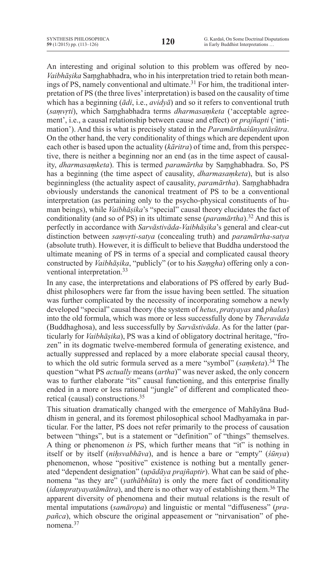An interesting and original solution to this problem was offered by neo-*Vaibhāṣika* Saṃghabhadra, who in his interpretation tried to retain both meanings of PS, namely conventional and ultimate.<sup>31</sup> For him, the traditional interpretation of PS (the three lives'interpretation) is based on the causality of time which has a beginning (*ādi*, i.e., *avidyā*) and so it refers to conventional truth (*saṃvṛti*), which Saṃghabhadra terms *dharmasaṃketa* ('acceptable agreement', i.e., a causal relationship between cause and effect) or *prajñapti* ('intimation'). And this is what is precisely stated in the *Paramārthaśūnyatāsūtra*. On the other hand, the very conditionality of things which are dependent upon each other is based upon the actuality (*kāritra*) of time and, from this perspective, there is neither a beginning nor an end (as in the time aspect of causality, *dharmasaṃketa*). This is termed *paramārtha* by Saṃghabhadra. So, PS has a beginning (the time aspect of causality, *dharmasaṃketa*), but is also beginningless (the actuality aspect of causality, *paramārtha*). Saṃghabhadra obviously understands the canonical treatment of PS to be a conventional interpretation (as pertaining only to the psycho-physical constituents of human beings), while *Vaibhāṣika*'s "special" causal theory elucidates the fact of conditionality (and so of PS) in its ultimate sense (*paramārtha*).<sup>32</sup> And this is perfectly in accordance with *Sarvāstivāda-Vaibhāṣika*'s general and clear-cut distinction between *saṃvṛti*-*satya* (concealing truth) and *paramārtha*-*satya* (absolute truth). However, it is difficult to believe that Buddha understood the ultimate meaning of PS in terms of a special and complicated causal theory constructed by *Vaibhāṣika*, "publicly" (or to his *Saṃgha*) offering only a conventional interpretation.33

In any case, the interpretations and elaborations of PS offered by early Buddhist philosophers were far from the issue having been settled. The situation was further complicated by the necessity of incorporating somehow a newly developed "special" causal theory (the system of *hetus*, *pratyayas* and *phalas*) into the old formula, which was more or less successfully done by *Theravāda* (Buddhaghosa), and less successfully by *Sarvāstivāda*. As for the latter (particularly for *Vaibhāṣika*), PS was a kind of obligatory doctrinal heritage, "frozen" in its dogmatic twelve-membered formula of generating existence, and actually suppressed and replaced by a more elaborate special causal theory, to which the old sutric formula served as a mere "symbol" (*saṃketa*).<sup>34</sup> The question "what PS *actually* means (*artha*)" was never asked, the only concern was to further elaborate "its" causal functioning, and this enterprise finally ended in a more or less rational "jungle" of different and complicated theoretical (causal) constructions.35

This situation dramatically changed with the emergence of Mahāyāna Buddhism in general, and its foremost philosophical school Madhyamaka in particular. For the latter, PS does not refer primarily to the process of causation between "things", but is a statement or "definition" of "things" themselves. A thing or phenomenon *is* PS, which further means that "it" is nothing in itself or by itself (*niḥsvabhāva*), and is hence a bare or "empty" (*śūnya*) phenomenon, whose "positive" existence is nothing but a mentally generated "dependent designation" (*upādāya prajñaptir*). What can be said of phenomena "as they are" (*yathābhūta*) is only the mere fact of conditionality (*idaṃpratyayatāmātra*), and there is no other way of establishing them.36 The apparent diversity of phenomena and their mutual relations is the result of mental imputations (*samāropa*) and linguistic or mental "diffuseness" (*prapañca*), which obscure the original appeasement or "nirvanisation" of phenomena<sup>37</sup>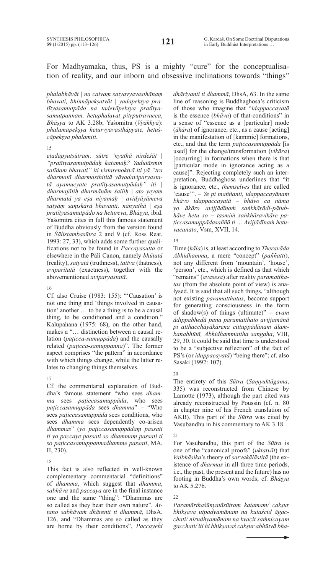# For Madhyamaka, thus, PS is a mighty "cure" for the conceptualisation of reality, and our inborn and obsessive inclinations towards "things"

*phalabhāvāt | na caivaṃ satyavyavasthānaṃ bhavati, bhinnāpekṣatvāt | yadapekṣya pratītyasamutpādo na tadevāpekṣya pratītyasamutpannam, hetuphalavat pitṛputravacca*, *Bhāṣya* to AK 3.28b; Yaśomitra (*Vyākhyā*): *phalamapekṣya heturvyavasthāpyate, hetuścāpekṣya phalamiti.*

#### 15

*etadapyutsūtram; sūtre 'nyathā nirdeśāt | "pratītyasamutpādaḥ katamaḥ? Yadutāsmin satīdaṃ bhavati" iti vistareṇoktvā iti yā "tra dharmatā dharmasthititā yāvadaviparyastatā ayamucyate pratītyasamutpādaḥ" iti | dharmajātiḥ dharmāṇāṃ śailiḥ | ato yeyaṃ dharmatā ya eṣa niyamaḥ | avidyāyāmeva satyāṃ saṃskārā bhavanti, nānyathā | eṣa pratītyasamutpādo na hetureva*, *Bhāṣya*, ibid. Yaśomitra cites in full this famous statement of Buddha obviously from the version found in *Śālistambasūtra* 2 and 9 (cf. Ross Reat, 1993: 27, 33), which adds some further qualifications not to be found in *Paccayasutta* or elsewhere in the Pāli Canon, namely *bhūtatā* (reality), *satyatā* (truthness), *tattva* (thatness), *aviparītatā* (exactness), together with the abovementioned *aviparyastatā*.

#### 16

Cf. also Cruise (1983: 155): "'Causation' is not one thing and 'things involved in causation' another … to be a thing is to be a causal thing, to be conditioned and a condition." Kalupahana (1975: 68), on the other hand, makes a "… distinction between a causal relation (*paṭicca-samuppāda*) and the causally related (*paṭicca-samuppanna*)". The former aspect comprises "the pattern" in accordance with which things change, while the latter relates to changing things themselves.

# 17

Cf. the commentarial explanation of Buddha's famous statement "who sees *dhamma* sees *paṭiccasamuppāda*, who sees *paṭiccasamuppāda* sees *dhamma*" – "Who sees *paṭiccasamuppāda* sees conditions, who sees *dhamma* sees dependently co-arisen *dhammas*" (*yo paṭiccasamuppādaṃ passati ti yo paccaye passati so dhammaṃ passati ti so paṭiccasamuppannadhamme passati*, MA, II, 230).

# 18

This fact is also reflected in well-known complementary commentarial "definitions" of *dhamma*, which suggest that *dhamma*, *sabhāva* and *paccaya* are in the final instance one and the same "thing": "Dhammas are so called as they bear their own nature", *Attano sabhāvaṁ dhārenti ti dhammā*, DhsA, 126, and "Dhammas are so called as they are borne by their conditions", *Paccayehi*  *dhāriyanti ti dhammā*, DhsA, 63. In the same line of reasoning is Buddhaghosa's criticism of those who imagine that "*idappaccayatā* is the essence (*bhāva*) of that-conditions" in a sense of "essence as a [particular] mode (*ākāra*) of ignorance, etc., as a cause [acting] in the manifestation of [kammic] formations, etc., and that the term *paṭiccasamuppāda* [is used] for the change/transformation (*vikāra*) [occurring] in formations when there is that [particular mode in ignorance acting as a cause]". Rejecting completely such an interpretation, Buddhaghosa underlines that "it is ignorance, etc., *themselves* that are called 'cause'". – *Ye pi maññanti, idappaccayānaṁ bhāvo idappaccayatā – bhāvo ca nāma yo ākāro avijjādīnaṁ saṅkhārādi-pātubhāve hetu so – tasmiṁ saṅkhāravikāre paṭiccasamuppādasaññā ti … Avijjādīnaṁ hetuvacanato*, Vsm, XVII, 14.

# 19

Time (*kāla*) is, at least according to *Theravāda Abhidhamma*, a mere "concept" (*paññatti*), not any different from 'mountain', 'house', 'person', etc., which is defined as that which "remains" (*avasesa*) after reality *paramatthatas* (from the absolute point of view) is analysed. It is said that all such things, "although not existing *paramatthatas*, become support for generating consciousness in the form of shadow(s) of things (ultimate)" – *evam ādippabhedā pana paramatthato avijjamānā pi atthacchāyākārena cittuppādānam ālambanabhūtā, Abhidhammattha sangaha*, VIII, 29, 30. It could be said that time is understood to be a "subjective reflection" of the fact of PS's (or *idappacayatā*) "being there"; cf. also Sasaki (1992: 107).

# 20

The entirety of this *Sūtra* (*Saṃyuktāgama*, 335) was reconstructed from Chinese by Lamotte (1973), although the part cited was already reconstructed by Poussin (cf. n. 80 in chapter nine of his French translation of AKB). This part of the *Sūtra* was cited by Vasubandhu in his commentary to AK 3.18.

# 21

For Vasubandhu, this part of the *Sūtra* is one of the "canonical proofs" (*uktatvāt*) that *Vaibhāṣika*'s theory of *sarvakālāstitā* (the existence of *dharmas* in all three time periods, i.e., the past, the present and the future) has no footing in Buddha's own words; cf. *Bhāṣya* to AK 5.27b.

# $22$

*Paramārthaśūnyatāsūtraṃ katamam/ cakṣur bhikṣava utpadyamānam na kutaścid āgacchati/ nirudhyamānam na kvacit saṁnicayam gacchati/ iti hi bhikṣavaś cakṣur abhūtvā bha-*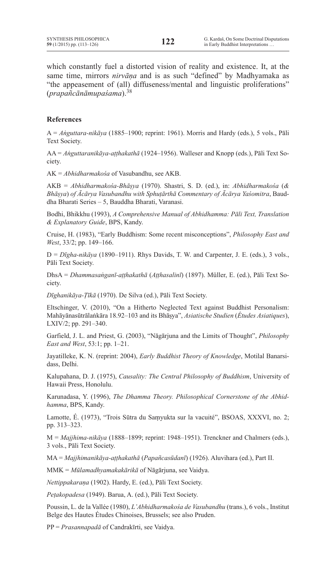which constantly fuel a distorted vision of reality and existence. It, at the same time, mirrors *nirvāṇa* and is as such "defined" by Madhyamaka as "the appeasement of (all) diffuseness/mental and linguistic proliferations" (*prapañcānāmupaśama*).<sup>38</sup>

# **References**

A = *Aṅguttara-nikāya* (1885–1900; reprint: 1961). Morris and Hardy (eds.), 5 vols., Pāli Text Society.

AA = *Aṅguttaranikāya-aṭṭhakathā* (1924–1956). Walleser and Knopp (eds.), Pāli Text Society.

AK = *Abhidharmakośa* of Vasubandhu, see AKB.

AKB = *Abhidharmakośa-Bhāṣya* (1970). Shastri, S. D. (ed.), in: *Abhidharmakośa* (*& Bhāṣya*) *of Ācārya Vasubandhu with Sphuṭārthā Commentary of Ācārya Yaśomitra*, Bauddha Bharati Series – 5, Bauddha Bharati, Varanasi.

Bodhi, Bhikkhu (1993), *A Comprehensive Manual of Abhidhamma: Pāli Text, Translation & Explanatory Guide*, BPS, Kandy.

Cruise, H. (1983), "Early Buddhism: Some recent misconceptions", *Philosophy East and West*, 33/2; pp. 149–166.

D = *Dīgha-nikāya* (1890–1911). Rhys Davids, T. W. and Carpenter, J. E. (eds.), 3 vols., Pāli Text Society.

DhsA = *Dhammasaṅganī-aṭṭhakathā* (*Aṭṭhasalinī*) (1897). Müller, E. (ed.), Pāli Text Society.

*Dīghanikāya-Ṭīkā* (1970). De Silva (ed.), Pāli Text Society.

Eltschinger, V. (2010), "On a Hitherto Neglected Text against Buddhist Personalism: Mahāyānasūtrālaṅkāra 18.92–103 and its Bhāṣya", *Asiatische Studien* (*Études Asiatiques*), LXIV/2; pp. 291–340.

Garfield, J. L. and Priest, G. (2003), "Nāgārjuna and the Limits of Thought", *Philosophy East and West*, 53:1; pp. 1–21.

Jayatilleke, K. N. (reprint: 2004), *Early Buddhist Theory of Knowledge*, Motilal Banarsidass, Delhi.

Kalupahana, D. J. (1975), *Causality: The Central Philosophy of Buddhism*, University of Hawaii Press, Honolulu.

Karunadasa, Y. (1996), *The Dhamma Theory. Philosophical Cornerstone of the Abhidhamma*, BPS, Kandy.

Lamotte, É. (1973), "Trois Sūtra du Saṃyukta sur la vacuité", BSOAS, XXXVI, no. 2; pp. 313–323.

M = *Majjhima-nikāya* (1888–1899; reprint: 1948–1951). Trenckner and Chalmers (eds.), 3 vols., Pāli Text Society.

MA = *Majjhimanikāya-aṭṭhakathā* (*Papañcasūdanī*) (1926). Aluvihara (ed.), Part II.

MMK = *Mūlamadhyamakakārikā* of Nāgārjuna, see Vaidya.

*Nettippakaraṇa* (1902). Hardy, E. (ed.), Pāli Text Society.

*Peṭakopadesa* (1949). Barua, A. (ed.), Pāli Text Society.

Poussin, L. de la Vallée (1980), *L'Abhidharmakośa de Vasubandhu* (trans.), 6 vols., Institut Belge des Hautes Études Chinoises, Brussels; see also Pruden.

PP = *Prasannapadā* of Candrakīrti, see Vaidya.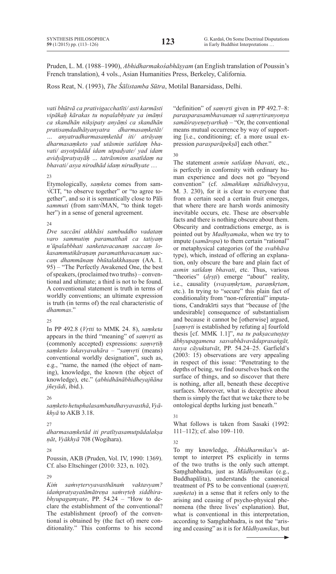Pruden, L. M. (1988–1990), *Abhidharmakośabhāṣyam* (an English translation of Poussin's French translation), 4 vols., Asian Humanities Press, Berkeley, California.

Ross Reat, N. (1993), *The Śālistamba Sūtra*, Motilal Banarsidass, Delhi.

*vati bhūtvā ca prativigacchatīti/ asti karmāsti vipākaḥ kārakas tu nopalabhyate ya imāṃś ca skandhān nikṣipaty anyāṃś ca skandhān pratisaṃdadhātyanyatra dharmasaṃketāt/ … anyatradharmasaṃketād iti/ atrāyaṃ dharmasaṃketo yad utāsmin satīdaṃ bhavati/ asyotpādād idam utpadyate/ yad idam avidyāpratyayāḥ … tatrāsminn asatīdaṃ na bhavati/ asya nirodhād idaṃ nirudhyate* …

#### 23

Etymologically, *saṃketa* comes from sam- √CIT, "to observe together" or "to agree together", and so it is semantically close to Pāli *sammuti* (from sam√MAN, "to think together") in a sense of general agreement.

# $24$

*Dve saccāni akkhāsi sambuddho vadataṃ varo sammutiṃ paramatthañ ca tatiyaṃ n'ūpalabbhati sanketavacanaṃ saccaṃ lokasammutikāraṇaṃ paramatthavacanaṃ saccaṃ dhammānaṃ bhūtalakkhaṇaṃ* (AA. I. 95) – "The Perfectly Awakened One, the best ofspeakers,(proclaimed two truths) – conventional and ultimate; a third is not to be found. A conventional statement is truth in terms of worldly conventions; an ultimate expression is truth (in terms of) the real characteristic of *dhammas*."

# $25$

In PP 492.8 (*Vṛtti* to MMK 24. 8), *saṃketa* appears in the third "meaning" of *saṃvṛti* as (commonly accepted) expressions: *saṃvṛtiḥ saṃketo lokavyavahāra* – "*saṃvṛti* (means) conventional worldly designation", such as, e.g., "name, the named (the object of naming), knowledge, the known (the object of knowledge), etc." (*abhidhānābhidheyajñāna jñeyādi*, ibid.).

# 26

*saṃketo hetuphalasambandhavyavasthā*,*Vyākhyā* to AKB 3.18.

# 27

*dharmasaṃketād iti pratītyasamutpādalakṣa ṇāt*, *Vyākhyā* 708 (Wogihara).

# 28

Poussin, AKB (Pruden, Vol. IV, 1990: 1369). Cf. also Eltschinger (2010: 323, n. 102).

# $29$

*Kiṁ saṁvṛtervyavasthānaṁ vaktavyam? idaṁpratyayatāmātreṇa saṁvṛteḥ siddhirabhyupagamyate*, PP. 54.24 – "How to declare the establishment of the conventional? The establishment (proof) of the conventional is obtained by (the fact of) mere conditionality." This conforms to his second "definition" of *saṃvṛti* given in PP 492.7–8: *parasparasambhavanaṃ vā saṃvṛtiranyonya samāśrayeṇetyarthaḥ* – "Or, the conventional means mutual occurrence by way of supporting [i.e., conditioning; cf. a more usual expression *parasparāpekṣā*] each other."

30

The statement *asmin satīdaṃ bhavati*, etc., is perfectly in conformity with ordinary human experience and does not go "beyond convention" (cf. *sāmaññaṃ nātidhāveyya*, M. 3. 230), for it is clear to everyone that from a certain seed a certain fruit emerges, that where there are harsh words animosity inevitable occurs, etc. These are observable facts and there is nothing obscure about them. Obscurity and contradictions emerge, as is pointed out by *Madhyamaka*, when we try to impute (*samāropa*) to them certain "rational" or metaphysical categories (of the *svabhāva* type), which, instead of offering an explanation, only obscure the bare and plain fact of *asmin satīdaṃ bhavati*, etc. Thus, various "theories" (*dṛṣṭi*) emerge "about" reality, i.e., causality (*svayaṃkṛtam*, *paraṃkṛtam*, etc.). In trying to "secure" this plain fact of conditionality from "non-referential" imputations, Candrakīrti says that "because of [the undesirable] consequence of substantialism and because it cannot be [otherwise] argued, [*saṃvṛti* is established by refuting a] fourfold thesis [cf. MMK 1.1]", *na tu pakṣacatuṣṭay ābhyupagamena sasvabhāvavādaprasaṅgāt, tasya cāyuktatvāt*, PP. 54.24–25. Garfield's (2003: 15) observations are very appealing in respect of this issue: "Penetrating to the depths of being, we find ourselves back on the surface of things, and so discover that there is nothing, after all, beneath these deceptive surfaces. Moreover, what is deceptive about them is simply the fact that we take there to be ontological depths lurking just beneath."

# 31

What follows is taken from Sasaki (1992: 111–112); cf. also 109–110.

32

To my knowledge, *Ābhidharmikas*'s attempt to interpret PS explicitly in terms of the two truths is the only such attempt. Saṃghabhadra, just as *Mādhyamikas* (e.g., Buddhapālita), understands the canonical treatment of PS to be conventional (*saṃvṛti, saṃketa*) in a sense that it refers only to the arising and ceasing of psycho-physical phenomena (the three lives' explanation). But, what is conventional in this interpretation, according to Saṃghabhadra, is not the "arising and ceasing" as it is for *Mādhyamikas*, but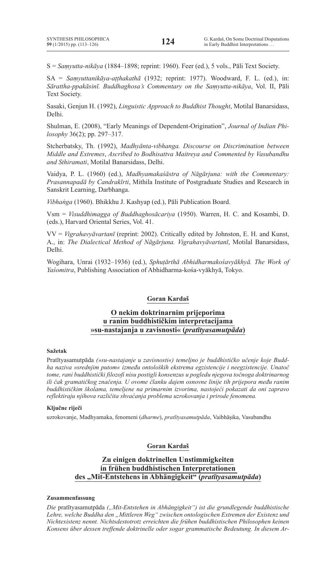S = *Saṃyutta-nikāya* (1884–1898; reprint: 1960). Feer (ed.), 5 vols., Pāli Text Society.

SA = *Saṃyuttanikāya-aṭṭhakathā* (1932; reprint: 1977). Woodward, F. L. (ed.), in: *Sārattha-ppakāsinī. Buddhaghosa's Commentary on the Saṃyutta-nikāya*, Vol. II, Pāli Text Society.

Sasaki, Genjun H. (1992), *Linguistic Approach to Buddhist Thought*, Motilal Banarsidass, Delhi.

Shulman, E. (2008), "Early Meanings of Dependent-Origination", *Journal of Indian Philosophy* 36(2); pp. 297–317.

Stcherbatsky, Th. (1992), *Madhyānta-vibhanga. Discourse on Discrimination between Middle and Extremes*, *Ascribed to Bodhisattva Maitreya and Commented by Vasubandhu and Sthiramati*, Motilal Banarsidass, Delhi.

Vaidya, P. L. (1960) (ed.), *Madhyamakaśāstra of Nāgārjuna: with the Commentary: Prasannapadā by Candrakīrti*, Mithila Institute of Postgraduate Studies and Research in Sanskrit Learning, Darbhanga.

*Vibhaṅga* (1960). Bhikkhu J. Kashyap (ed.), Pāli Publication Board.

Vsm = *Visuddhimagga of Buddhaghosācariya* (1950). Warren, H. C. and Kosambi, D. (eds.), Harvard Oriental Series, Vol. 41.

VV = *Vigrahavyāvartanī* (reprint: 2002). Critically edited by Johnston, E. H. and Kunst, A., in: *The Dialectical Method of Nāgārjuna. Vigrahavyāvartanī*, Motilal Banarsidass, Delhi.

Wogihara, Unrai (1932–1936) (ed.), *Sphuṭārthā Abhidharmakośavyākhyā. The Work of Yaśomitra*, Publishing Association of Abhidharma-kośa-vyākhyā, Tokyo.

# **Goran Kardaš**

# **O nekim doktrinarnim prijeporima u ranim buddhističkim interpretacijama »su-nastajanja u zavisnosti« (***pratītyasamutpāda***)**

#### **Sažetak**

Pratītyasamutpāda *(»su-nastajanje u zavisnosti«) temeljno je buddhističko učenje koje Buddha naziva »srednjim putom« između ontoloških ekstrema egzistencije i neegzistencije. Unatoč tome, rani buddhistički filozofi nisu postigli konsenzus u pogledu njegova točnoga doktrinarnog ili čak gramatičkog značenja. U ovome članku dajem osnovne linije tih prijepora među ranim buddhističkim školama, temeljene na primarnim izvorima, nastojeći pokazati da oni zapravo reflektiraju njihova različita shvaćanja problema uzrokovanja i prirode fenomena.*

#### **Ključne riječi**

uzrokovanje, Madhyamaka, fenomeni (*dharme*), *pratītyasamutpāda*, Vaibhāṣika, Vasubandhu

# **Goran Kardaš**

# **Zu einigen doktrinellen Unstimmigkeiten in frühen buddhistischen Interpretationen des "Mit-Entstehens in Abhängigkeit" (***pratītyasamutpāda***)**

#### **Zusammenfassung**

*Die* pratītyasamutpāda *("Mit-Entstehen in Abhängigkeit") ist die grundlegende buddhistische Lehre, welche Buddha den "Mittleren Weg" zwischen ontologischen Extremen der Existenz und Nichtexistenz nennt. Nichtsdestotrotz erreichten die frühen buddhistischen Philosophen keinen Konsens über dessen treffende doktrinelle oder sogar grammatische Bedeutung. In diesem Ar-*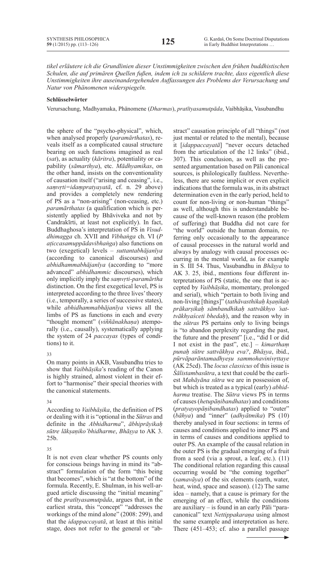*tikel erläutere ich die Grundlinien dieser Unstimmigkeiten zwischen den frühen buddhistischen Schulen, die auf primären Quellen fußen, indem ich zu schildern trachte, dass eigentlich diese Unstimmigkeiten ihre auseinandergehenden Auffassungen des Problems der Verursachung und Natur von Phänomenen widerspiegeln.*

# **Schlüsselwörter**

Verursachung, Madhyamaka, Phänomene (*Dharmas*), *pratītyasamutpāda*, Vaibhāṣika, Vasubandhu

the sphere of the "psycho-physical", which, when analysed properly (*paramārthatas*), reveals itself as a complicated causal structure bearing on such functions imagined as real (*sat*), as actuality (*kāritra*), potentiality or capability (*sāmarthya*), etc. *Mādhyamikas*, on the other hand, insists on the conventionality of causation itself ("arising and ceasing", i.e., *saṃvṛti=idaṃpratyayatā*, cf. n. 29 above) and provides a completely new rendering of PS as a "non-arising" (non-ceasing, etc.) *paramārthatas* (a qualification which is persistently applied by Bhāviveka and not by Candrakīrti, at least not explicitly). In fact, Buddhaghosa's interpretation of PS in *Visuddhimagga* ch. XVII and *Vibhaṅga* ch. VI (*P aṭiccasamuppādavibhaṅga*) also functions on two (exegetical) levels – *suttantabhājanīya* (according to canonical discourses) and *abhidhammabhājanīya* (according to "more advanced" *abhidhammic* discourses), which only implicitly imply the *saṃvṛti-paramārtha*  distinction. On the first exegetical level, PS is interpreted according to the three lives'theory (i.e., temporally, a series of successive states), while *abhidhammabhājanīya* views all the limbs of PS as functions in each and every "thought moment" (*viññānakhaṇa*) atemporally (i.e., causally), systematically applying the system of 24 *paccayas* (types of conditions) to it.

#### 33

On many points in AKB, Vasubandhu tries to show that *Vaibhāṣika*'s reading of the Canon is highly strained, almost violent in their effort to "harmonise" their special theories with the canonical statements.

#### 34

According to *Vaibhāṣika*, the definition of PS or dealing with it is "optional in the *Sūtras* and definite in the *Abhidharma*", *ābhiprāyikaḥ sūtre lākṣaṇiko'bhidharme*, *Bhāṣya* to AK 3. 25b.

# 35

It is not even clear whether PS counts only for conscious beings having in mind its "abstract" formulation of the form "this being that becomes", which is "at the bottom" of the formula. Recently, E. Shulman, in his well-argued article discussing the "initial meaning" of the *pratītyasamutpāda*, argues that, in the earliest strata, this "concept" "addresses the workings of the mind alone" (2008: 299), and that the *idappaccayatā*, at least at this initial stage, does not refer to the general or "abstract" causation principle of all "things" (not just mental or related to the mental), because it [*idappaccayatā*] "never occurs detached from the articulation of the 12 links" (ibid., 307). This conclusion, as well as the presented argumentation based on Pāli canonical sources, is philologically faultless. Nevertheless, there are some implicit or even explicit indications that the formula was, in its abstract determination even in the early period, held to count for non-living or non-human "things" as well, although this is understandable because of the well-known reason (the problem of suffering) that Buddha did not care for "the world" outside the human domain, referring only occasionally to the appearance of causal processes in the natural world and always by analogy with causal processes occurring in the mental world, as for example in S. III 54. Thus, Vasubandhu in *Bhāṣya* to AK 3. 25, ibid., mentions four different interpretations of PS (static, the one that is accepted by *Vaibhāṣika*, momentary, prolonged and serial), which "pertain to both living and non-living [things]" (*tathāvasthikaḥ kṣaṇikaḥ prākarṣikaḥ sāmbandhikaḥ sattvākhyo 'sattvākhyaśceti bhedaḥ*), and the reason why in the *sūtras* PS pertains only to living beings is "to abandon perplexity regarding the past, the future and the present" [i.e., "did I or did I not exist in the past", etc.] – *kimarthaṃ punaḥ sūtre sattvākhya eva?*, *Bhāṣya*, ibid., *pūrvāparāntamadhyeṣu sammohavinivṛttaye* (AK 25cd). The *locus classicus* of this issue is *Śālistambasūtra*, a text that could be the earliest *Mahāyāna sūtra* we are in possession of, but which is treated as a typical (early) *abhidharma* treatise. The *Sūtra* views PS in terms of causes (*hetupāṇibandhatas*) and conditions (*pratyayopāṇibandhatas*) applied to "outer" (*bāhya*) and "inner" (*adhyātmika*) PS (10) thereby analysed in four sections: in terms of causes and conditions applied to inner PS and in terms of causes and conditions applied to outer PS. An example of the causal relation in the outer PS is the gradual emerging of a fruit from a seed (via a sprout, a leaf, etc.). (11) The conditional relation regarding this causal occurring would be "the coming together" (*samavāya*) of the six elements (earth, water, heat, wind, space and season). (12) The same idea – namely, that a cause is primary for the emerging of an effect, while the conditions are auxiliary – is found in an early Pāli "paracanonical" text *Nettippakaraṇa* using almost the same example and interpretation as here. There (451–453; cf. also a parallel passage